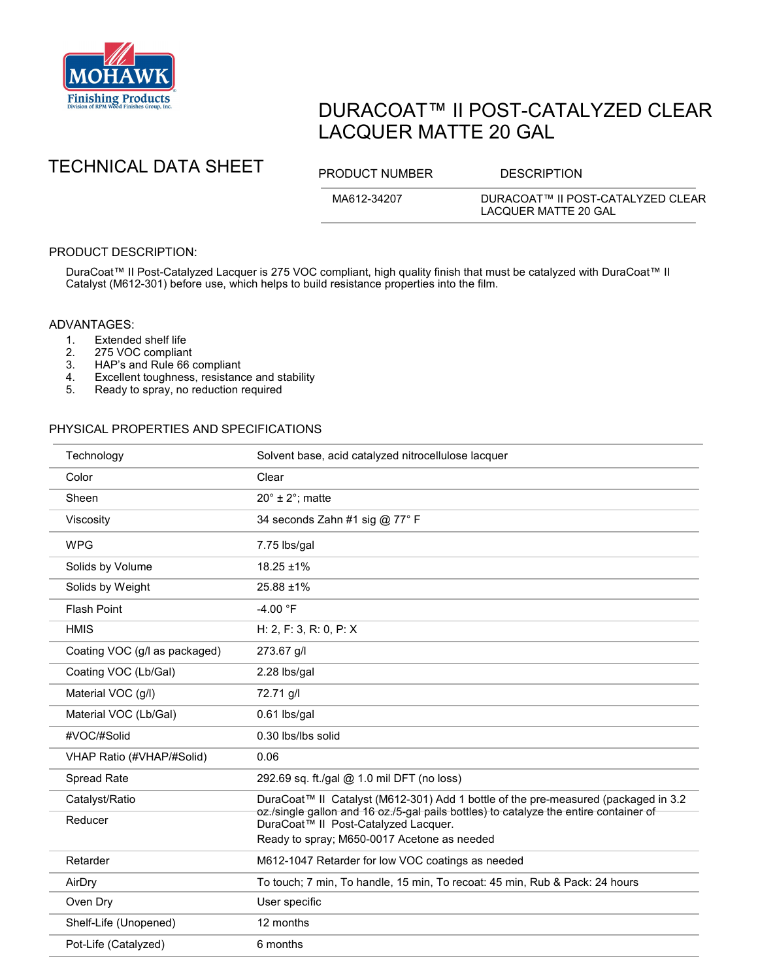

# DURACOAT™ II POST-CATALYZED CLEAR LACQUER MATTE 20 GAL

## TECHNICAL DATA SHEET PRODUCT NUMBER DESCRIPTION

MA612-34207 DURACOAT™ II POST-CATALYZED CLEAR LACQUER MATTE 20 GAL

## PRODUCT DESCRIPTION:

DuraCoat™ II Post-Catalyzed Lacquer is 275 VOC compliant, high quality finish that must be catalyzed with DuraCoat™ II Catalyst (M612-301) before use, which helps to build resistance properties into the film.

#### ADVANTAGES:

- 
- 1. Extended shelf life<br>2. 275 VOC complian
- 2. 275 VOC compliant<br>3. HAP's and Rule 66 HAP's and Rule 66 compliant
- 4. Excellent toughness, resistance and stability<br>5. Ready to spray, no reduction required
- Ready to spray, no reduction required

### PHYSICAL PROPERTIES AND SPECIFICATIONS

| Technology                    | Solvent base, acid catalyzed nitrocellulose lacquer                                                                                                                                                                 |
|-------------------------------|---------------------------------------------------------------------------------------------------------------------------------------------------------------------------------------------------------------------|
| Color                         | Clear                                                                                                                                                                                                               |
| Sheen                         | $20^\circ \pm 2^\circ$ ; matte                                                                                                                                                                                      |
| Viscosity                     | 34 seconds Zahn #1 sig @ 77° F                                                                                                                                                                                      |
| <b>WPG</b>                    | 7.75 lbs/gal                                                                                                                                                                                                        |
| Solids by Volume              | $18.25 \pm 1\%$                                                                                                                                                                                                     |
| Solids by Weight              | $25.88 \pm 1\%$                                                                                                                                                                                                     |
| <b>Flash Point</b>            | $-4.00 °F$                                                                                                                                                                                                          |
| <b>HMIS</b>                   | H: 2, F: 3, R: 0, P: X                                                                                                                                                                                              |
| Coating VOC (g/l as packaged) | 273.67 g/l                                                                                                                                                                                                          |
| Coating VOC (Lb/Gal)          | 2.28 lbs/gal                                                                                                                                                                                                        |
| Material VOC (g/l)            | 72.71 g/l                                                                                                                                                                                                           |
| Material VOC (Lb/Gal)         | 0.61 lbs/gal                                                                                                                                                                                                        |
| #VOC/#Solid                   | 0.30 lbs/lbs solid                                                                                                                                                                                                  |
| VHAP Ratio (#VHAP/#Solid)     | 0.06                                                                                                                                                                                                                |
| Spread Rate                   | 292.69 sq. ft./gal @ 1.0 mil DFT (no loss)                                                                                                                                                                          |
| Catalyst/Ratio                | DuraCoat™ II Catalyst (M612-301) Add 1 bottle of the pre-measured (packaged in 3.2<br>oz./single gallon and 16 oz./5-gal pails bottles) to catalyze the entire container of<br>DuraCoat™ II Post-Catalyzed Lacquer. |
| Reducer                       |                                                                                                                                                                                                                     |
|                               | Ready to spray; M650-0017 Acetone as needed                                                                                                                                                                         |
| Retarder                      | M612-1047 Retarder for low VOC coatings as needed                                                                                                                                                                   |
| AirDry                        | To touch; 7 min, To handle, 15 min, To recoat: 45 min, Rub & Pack: 24 hours                                                                                                                                         |
| Oven Dry                      | User specific                                                                                                                                                                                                       |
| Shelf-Life (Unopened)         | 12 months                                                                                                                                                                                                           |
| Pot-Life (Catalyzed)          | 6 months                                                                                                                                                                                                            |